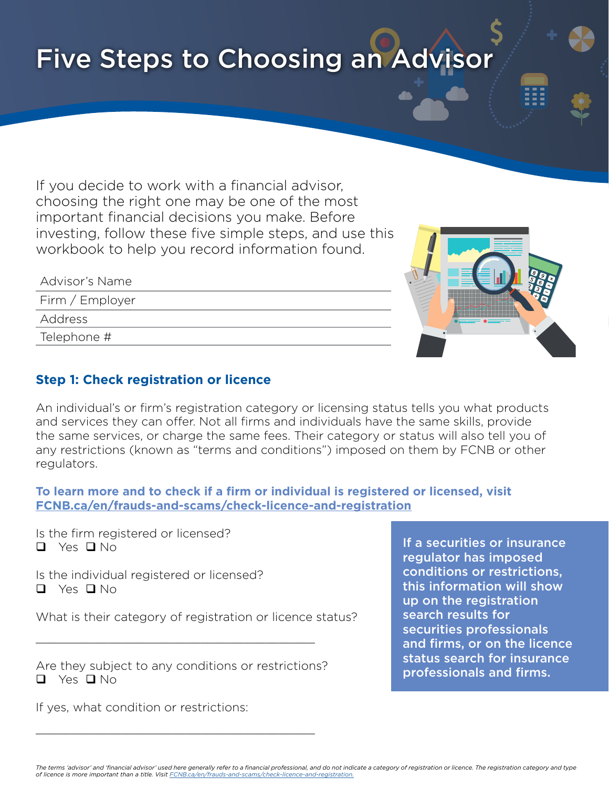# Five Steps to Choosing an Advisor

If you decide to work with a financial advisor, choosing the right one may be one of the most important financial decisions you make. Before investing, follow these five simple steps, and use this workbook to help you record information found.

| Advisor's Name  |  |
|-----------------|--|
| Firm / Employer |  |
| Address         |  |
| Telephone #     |  |
|                 |  |



## **Step 1: Check registration or licence**

An individual's or firm's registration category or licensing status tells you what products and services they can offer. Not all firms and individuals have the same skills, provide the same services, or charge the same fees. Their category or status will also tell you of any restrictions (known as "terms and conditions") imposed on them by FCNB or other regulators.

#### **To learn more and to check if a firm or individual is registered or licensed, visit [FCNB.ca/](https://fcnb.ca/en/frauds-and-scams/check-licence-and-registration)en/frauds-and-scams/check-licence-and-registration**

Is the firm registered or licensed? **Q** Yes **Q** No

Is the individual registered or licensed?  $\Box$  Yes  $\Box$  No

What is their category of registration or licence status?

Are they subject to any conditions or restrictions?  $\Box$  Yes  $\Box$  No

 $\overline{\phantom{a}}$  , which is a set of the set of the set of the set of the set of the set of the set of the set of the set of the set of the set of the set of the set of the set of the set of the set of the set of the set of th

\_\_\_\_\_\_\_\_\_\_\_\_\_\_\_\_\_\_\_\_\_\_\_\_\_\_\_\_\_\_\_\_\_\_\_\_\_\_\_

If yes, what condition or restrictions:

If a securities or insurance regulator has imposed conditions or restrictions, this information will show up on the registration search results for securities professionals and firms, or on the licence status search for insurance professionals and firms.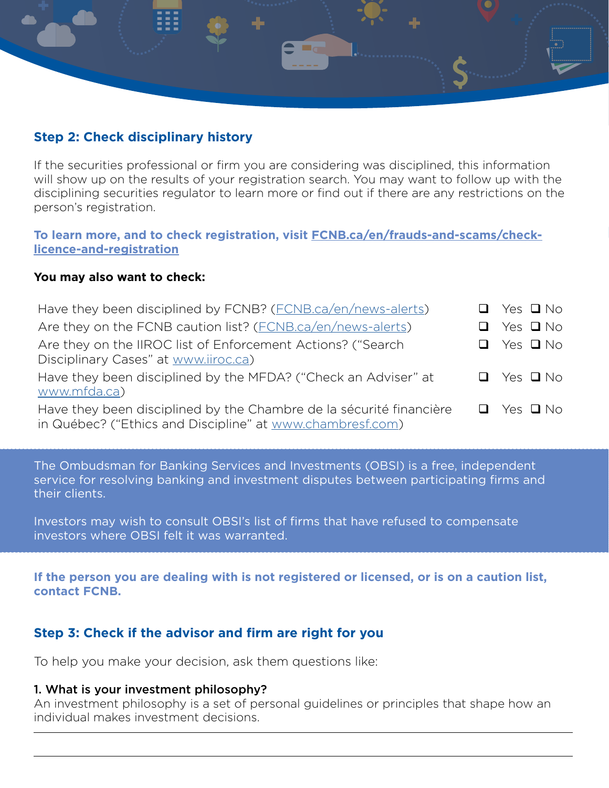

# **Step 2: Check disciplinary history**

If the securities professional or firm you are considering was disciplined, this information will show up on the results of your registration search. You may want to follow up with the disciplining securities regulator to learn more or find out if there are any restrictions on the person's registration.

**To learn more, and to check registration, visit [FCNB.ca/en/frauds-and-scams/check](https://fcnb.ca/en/frauds-and-scams/check-licence-and-registration)[licence-and-registration](https://fcnb.ca/en/frauds-and-scams/check-licence-and-registration)**

#### **You may also want to check:**

| Have they been disciplined by FCNB? ( <i>ECNB.ca/en/news-alerts</i> )                                                            | $\Box$ Yes $\Box$ No |
|----------------------------------------------------------------------------------------------------------------------------------|----------------------|
| Are they on the FCNB caution list? ( <i>FCNB.ca/en/news-alerts</i> )                                                             | Yes $\square$ No     |
| Are they on the IIROC list of Enforcement Actions? ("Search<br>Disciplinary Cases" at www.iiroc.ca)                              | $\Box$ Yes $\Box$ No |
| Have they been disciplined by the MFDA? ("Check an Adviser" at<br>www.mfda.ca)                                                   | $\Box$ Yes $\Box$ No |
| Have they been disciplined by the Chambre de la sécurité financière<br>in Québec? ("Ethics and Discipline" at www.chambresf.com) | $\Box$ Yes $\Box$ No |

The Ombudsman for Banking Services and Investments (OBSI) is a free, independent service for resolving banking and investment disputes between participating firms and their clients.

Investors may wish to consult OBSI's list of firms that have refused to compensate investors where OBSI felt it was warranted.

**If the person you are dealing with is not registered or licensed, or is on a caution list, contact FCNB.** 

## **Step 3: Check if the advisor and firm are right for you**

To help you make your decision, ask them questions like:

#### 1. What is your investment philosophy?

An investment philosophy is a set of personal guidelines or principles that shape how an individual makes investment decisions.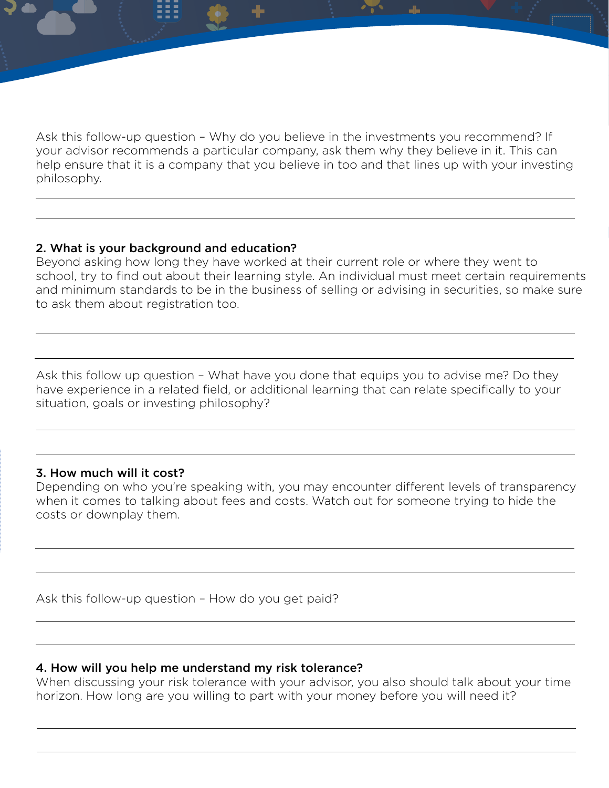Ask this follow-up question – Why do you believe in the investments you recommend? If your advisor recommends a particular company, ask them why they believe in it. This can help ensure that it is a company that you believe in too and that lines up with your investing philosophy.

#### 2. What is your background and education?

Beyond asking how long they have worked at their current role or where they went to school, try to find out about their learning style. An individual must meet certain requirements and minimum standards to be in the business of selling or advising in securities, so make sure to ask them about registration too.

Ask this follow up question – What have you done that equips you to advise me? Do they have experience in a related field, or additional learning that can relate specifically to your situation, goals or investing philosophy?

## 3. How much will it cost?

Depending on who you're speaking with, you may encounter different levels of transparency when it comes to talking about fees and costs. Watch out for someone trying to hide the costs or downplay them.

Ask this follow-up question – How do you get paid?

#### 4. How will you help me understand my risk tolerance?

When discussing your risk tolerance with your advisor, you also should talk about your time horizon. How long are you willing to part with your money before you will need it?